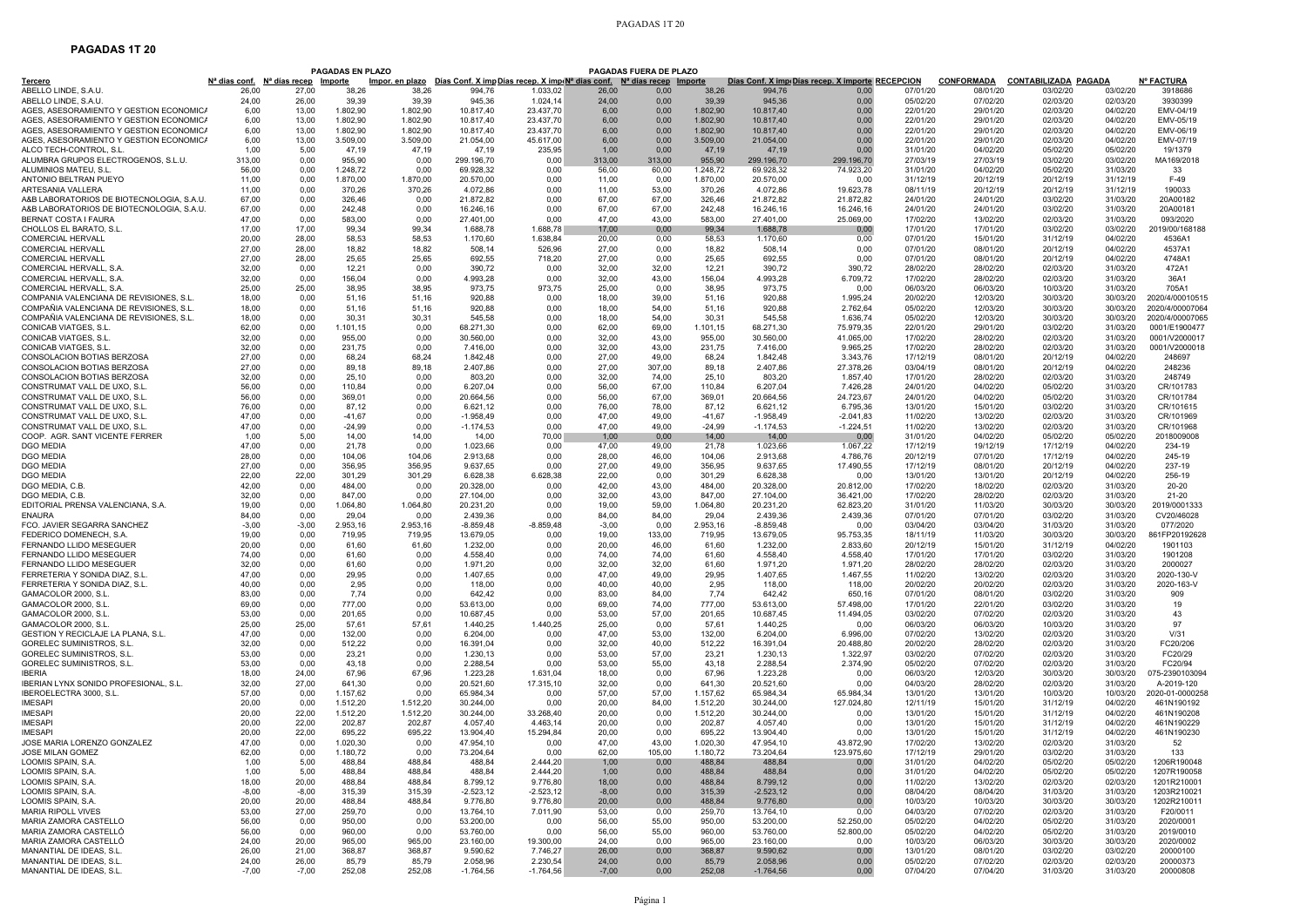## **PAGADAS 1T 20**

|                                                                   |                  |                                                             | <b>PAGADAS EN PLAZO</b> |                 |                                                                             |                         |                  | <b>PAGADAS FUERA DE PLAZO</b> |                  |                         |                                                  |                      |                      |                             |                      |                       |
|-------------------------------------------------------------------|------------------|-------------------------------------------------------------|-------------------------|-----------------|-----------------------------------------------------------------------------|-------------------------|------------------|-------------------------------|------------------|-------------------------|--------------------------------------------------|----------------------|----------------------|-----------------------------|----------------------|-----------------------|
| Tercero                                                           |                  | N <sup>ª</sup> dias conf. N <sup>ª</sup> días recep Importe |                         |                 | Impor. en plazo Días Conf. X impDías recep. X imp(N <sup>a</sup> dias conf. |                         |                  | $Na$ días recep               | Importe          |                         | Días Conf. X imp(Días recep. X importe RECEPCION |                      | <b>CONFORMADA</b>    | <b>CONTABILIZADA PAGADA</b> |                      | <b>Nº FACTURA</b>     |
| ABELLO LINDE, S.A.U.                                              | 26,00            | 27,00                                                       | 38,26                   | 38,26           | 994,76                                                                      | 1.033,02                | 26,00            | 0,00                          | 38,26            | 994.76                  | 0,00                                             | 07/01/20             | 08/01/20             | 03/02/20                    | 03/02/20             | 3918686               |
| ABELLO LINDE, S.A.U.                                              | 24.00            | 26.00                                                       | 39.39                   | 39.39           | 945.36                                                                      | 1.024.14                | 24.00            | 0.00                          | 39.39            | 945.36                  | 0.00                                             | 05/02/20             | 07/02/20             | 02/03/20                    | 02/03/20             | 3930399               |
| AGES. ASESORAMIENTO Y GESTION ECONOMIC                            | 6,00             | 13,00                                                       | 1.802,90                | 1.802,90        | 10.817,40                                                                   | 23.437,70               | 6,00             | 0,00                          | 1.802,90         | 10.817,40               | 0,00                                             | 22/01/20             | 29/01/20             | 02/03/20                    | 04/02/20             | EMV-04/19             |
| AGES, ASESORAMIENTO Y GESTION ECONOMICA                           | 6,00             | 13,00                                                       | 1.802,90                | 1.802,90        | 10.817,40                                                                   | 23.437,70               | 6,00             | 0,00                          | 1.802,90         | 10.817,40               | 0,00                                             | 22/01/20             | 29/01/20             | 02/03/20                    | 04/02/20             | EMV-05/19             |
| AGES, ASESORAMIENTO Y GESTION ECONOMIC                            | 6.00             | 13.00                                                       | 1.802.90                | 1.802,90        | 10.817.40                                                                   | 23.437.70               | 6.00             | 0.00                          | 1.802.90         | 10.817.40               | 0.00                                             | 22/01/20             | 29/01/20             | 02/03/20                    | 04/02/20             | EMV-06/19             |
| AGES, ASESORAMIENTO Y GESTION ECONOMICA                           | 6,00             | 13,00                                                       | 3.509,00                | 3.509,00        | 21.054,00                                                                   | 45.617,00               | 6,00             | 0,00                          | 3.509,00         | 21.054,00               | 0,00                                             | 22/01/20             | 29/01/20             | 02/03/20                    | 04/02/20             | EMV-07/19             |
| ALCO TECH-CONTROL, S.L                                            | 1,00             | 5,00                                                        | 47,19                   | 47,19           | 47,19                                                                       | 235,95                  | 1,00             | 0,00                          | 47,19            | 47,19                   | 0,00                                             | 31/01/20             | 04/02/20             | 05/02/20                    | 05/02/20             | 19/1379               |
| ALUMBRA GRUPOS ELECTROGENOS, S.L.U.                               | 313.00           | 0.00                                                        | 955.90                  | 0.00            | 299.196,70                                                                  | 0.00                    | 313,00           | 313.00                        | 955.90           | 299.196,70              | 299.196,70                                       | 27/03/19             | 27/03/19             | 03/02/20                    | 03/02/20             | MA169/2018            |
| ALUMINIOS MATEU. S.L.                                             | 56,00            | 0,00                                                        | 1.248,72                | 0,00            | 69.928.32                                                                   | 0,00                    | 56,00            | 60,00                         | 1.248,72         | 69.928,32               | 74.923.20                                        | 31/01/20             | 04/02/20             | 05/02/20                    | 31/03/20             | 33                    |
| ANTONIO BELTRAN PUEYO                                             | 11,00            | 0,00                                                        | 1.870,00                | 1.870,00        | 20.570,00                                                                   | 0,00                    | 11,00            | 0,00                          | 1.870,00         | 20.570,00               | 0,00                                             | 31/12/19             | 20/12/19             | 20/12/19                    | 31/12/19             | $F-49$                |
| ARTESANIA VALLERA                                                 | 11.00            | 0.00                                                        | 370.26                  | 370.26          | 4.072.86                                                                    | 0.00                    | 11.00            | 53.00                         | 370.26           | 4.072.86                | 19.623,78                                        | 08/11/19             | 20/12/19             | 20/12/19                    | 31/12/19             | 190033<br>20A00182    |
| A&B LABORATORIOS DE BIOTECNOLOGIA, S.A.U.                         | 67,00            | 0,00                                                        | 326,46                  | 0.00            | 21.872,82                                                                   | 0,00                    | 67,00            | 67,00                         | 326,46           | 21.872,82               | 21.872,82                                        | 24/01/20             | 24/01/20             | 03/02/20                    | 31/03/20             | 20A00181              |
| A&B LABORATORIOS DE BIOTECNOLOGIA, S.A.U.<br>BERNAT COSTA I FAURA | 67,00<br>47.00   | 0,00<br>0.00                                                | 242,48<br>583.00        | 0,00<br>0.00    | 16.246,16<br>27.401.00                                                      | 0,00<br>0,00            | 67,00<br>47.00   | 67,00<br>43.00                | 242,48<br>583,00 | 16.246,16<br>27.401,00  | 16.246,16<br>25.069.00                           | 24/01/20<br>17/02/20 | 24/01/20<br>13/02/20 | 03/02/20<br>02/03/20        | 31/03/20<br>31/03/20 | 093/2020              |
| CHOLLOS EL BARATO, S.L                                            | 17,00            | 17,00                                                       | 99,34                   | 99,34           | 1.688,78                                                                    | 1.688,78                | 17,00            | 0,00                          | 99,34            | 1.688,78                | 0,00                                             | 17/01/20             | 17/01/20             | 03/02/20                    | 03/02/20             | 2019/00/16818         |
| <b>COMERCIAL HERVALL</b>                                          | 20,00            | 28,00                                                       | 58,53                   | 58,53           | 1.170,60                                                                    | 1.638,84                | 20,00            | 0,00                          | 58,53            | 1.170,60                | 0,00                                             | 07/01/20             | 15/01/20             | 31/12/19                    | 04/02/20             | 4536A1                |
| <b>COMERCIAL HERVALL</b>                                          | 27.00            | 28.00                                                       | 18.82                   | 18.82           | 508.14                                                                      | 526,96                  | 27.00            | 0,00                          | 18,82            | 508.14                  | 0,00                                             | 07/01/20             | 08/01/20             | 20/12/19                    | 04/02/20             | 4537A1                |
| <b>COMERCIAL HERVALL</b>                                          | 27,00            | 28,00                                                       | 25,65                   | 25,65           | 692,55                                                                      | 718,20                  | 27,00            | 0,00                          | 25,65            | 692,55                  | 0,00                                             | 07/01/20             | 08/01/20             | 20/12/19                    | 04/02/20             | 4748A1                |
| COMERCIAL HERVALL, S.A                                            | 32,00            | 0,00                                                        | 12,21                   | 0,00            | 390,72                                                                      | 0.00                    | 32,00            | 32,00                         | 12,21            | 390,72                  | 390,72                                           | 28/02/20             | 28/02/20             | 02/03/20                    | 31/03/20             | 472A1                 |
| COMERCIAL HERVALL, S.A                                            | 32.00            | 0,00                                                        | 156.04                  | 0.00            | 4.993,28                                                                    | 0.00                    | 32.00            | 43.00                         | 156,04           | 4.993.28                | 6.709,72                                         | 17/02/20             | 28/02/20             | 02/03/20                    | 31/03/20             | 36A1                  |
| COMERCIAL HERVALL, S.A.                                           | 25,00            | 25,00                                                       | 38,95                   | 38,95           | 973,75                                                                      | 973,75                  | 25,00            | 0,00                          | 38,95            | 973,75                  | 0,00                                             | 06/03/20             | 06/03/20             | 10/03/20                    | 31/03/20             | 705A <sup>2</sup>     |
| COMPAÑIA VALENCIANA DE REVISIONES, S.L.                           | 18,00            | 0,00                                                        | 51,16                   | 51,16           | 920,88                                                                      | 0,00                    | 18,00            | 39,00                         | 51,16            | 920,88                  | 1.995,24                                         | 20/02/20             | 12/03/20             | 30/03/20                    | 30/03/20             | 2020/4/00010515       |
| COMPAÑIA VALENCIANA DE REVISIONES, S.L.                           | 18.00            | 0.00                                                        | 51.16                   | 51.16           | 920,88                                                                      | 0,00                    | 18.00            | 54.00                         | 51.16            | 920.88                  | 2.762.64                                         | 05/02/20             | 12/03/20             | 30/03/20                    | 30/03/20             | 2020/4/00007064       |
| COMPAÑIA VALENCIANA DE REVISIONES, S.L.                           | 18,00            | 0,00                                                        | 30,31                   | 30,31           | 545,58                                                                      | 0,00                    | 18,00            | 54,00                         | 30,31            | 545,58                  | 1.636,74                                         | 05/02/20             | 12/03/20             | 30/03/20                    | 30/03/20             | 2020/4/00007065       |
| CONICAB VIATGES, S.L.                                             | 62,00            | 0,00                                                        | 1.101,15                | 0,00            | 68.271,30                                                                   | 0,00                    | 62,00            | 69,00                         | 1.101,15         | 68.271,30               | 75.979,35                                        | 22/01/20             | 29/01/20             | 03/02/20                    | 31/03/20             | 0001/E1900477         |
| CONICAB VIATGES, S.L.                                             | 32.00            | 0.00                                                        | 955,00                  | 0.00            | 30.560.00                                                                   | 0,00                    | 32.00            | 43.00                         | 955,00           | 30.560,00               | 41.065,00                                        | 17/02/20             | 28/02/20             | 02/03/20                    | 31/03/20             | 0001/V200001          |
| CONICAB VIATGES, S.L.                                             | 32,00            | 0,00                                                        | 231,75                  | 0,00            | 7.416,00                                                                    | 0,00                    | 32,00            | 43,00                         | 231,75           | 7.416,00                | 9.965,25                                         | 17/02/20             | 28/02/20             | 02/03/20                    | 31/03/20             | 0001/V200001          |
| CONSOLACION BOTIAS BERZOSA                                        | 27,00            | 0,00                                                        | 68,24                   | 68,24           | 1.842,48                                                                    | 0,00                    | 27,00            | 49,00                         | 68,24            | 1.842,48                | 3.343,76                                         | 17/12/19             | 08/01/20             | 20/12/19                    | 04/02/20             | 248697                |
| CONSOLACION BOTIAS BERZOSA                                        | 27.00            | 0.00                                                        | 89.18                   | 89.18           | 2.407,86                                                                    | 0.00                    | 27.00            | 307.00                        | 89.18            | 2.407,86                | 27.378,26                                        | 03/04/19             | 08/01/20             | 20/12/19                    | 04/02/20             | 248236                |
| CONSOLACION BOTIAS BERZOSA                                        | 32,00            | 0,00                                                        | 25,10                   | 0.00            | 803,20                                                                      | 0,00                    | 32,00            | 74,00                         | 25,10            | 803,20                  | 1.857,40                                         | 17/01/20             | 28/02/20             | 02/03/20                    | 31/03/20             | 248749                |
| CONSTRUMAT VALL DE UXO, S.L.                                      | 56.00            | 0,00                                                        | 110,84                  | 0,00            | 6.207,04                                                                    | 0,00                    | 56,00            | 67,00                         | 110,84           | 6.207,04                | 7.426,28                                         | 24/01/20             | 04/02/20             | 05/02/20                    | 31/03/20             | CR/101783             |
| CONSTRUMAT VALL DE UXO, S.L.                                      | 56.00            | 0.00                                                        | 369.01                  | 0.00            | 20.664.56                                                                   | 0.00                    | 56.00            | 67.00                         | 369.01           | 20.664.56               | 24.723.67                                        | 24/01/20             | 04/02/20             | 05/02/20                    | 31/03/20             | CR/101784             |
| CONSTRUMAT VALL DE UXO, S.L.                                      | 76,00            | 0,00                                                        | 87,12                   | 0,00            | 6.621.12                                                                    | 0,00                    | 76,00            | 78,00                         | 87,12            | 6.621,12                | 6.795,36                                         | 13/01/20             | 15/01/20             | 03/02/20                    | 31/03/20             | CR/101615             |
| CONSTRUMAT VALL DE UXO, S.L.                                      | 47,00            | 0,00                                                        | $-41,67$                | 0,00            | $-1.958.49$                                                                 | 0,00                    | 47,00            | 49,00                         | $-41,67$         | $-1.958,49$             | $-2.041.83$                                      | 11/02/20             | 13/02/20             | 02/03/20                    | 31/03/20             | CR/101969             |
| CONSTRUMAT VALL DE UXO. S.L.                                      | 47.00            | 0.00                                                        | $-24.99$                | 0.00            | $-1.174.53$                                                                 | 0.00                    | 47.00            | 49.00                         | $-24.99$         | $-1.174.53$             | $-1.224.51$                                      | 11/02/20             | 13/02/20             | 02/03/20                    | 31/03/20             | CR/101968             |
| COOP. AGR. SANT VICENTE FERRER                                    | 1.00             | 5,00                                                        | 14.00                   | 14,00           | 14,00                                                                       | 70,00                   | 1,00             | 0,00                          | 14,00            | 14.00                   | 0,00                                             | 31/01/20             | 04/02/20             | 05/02/20                    | 05/02/20             | 201800900             |
| <b>DGO MEDIA</b>                                                  | 47,00            | 0,00                                                        | 21,78                   | 0,00            | 1.023,66                                                                    | 0,00                    | 47,00            | 49,00                         | 21,78            | 1.023,66                | 1.067,22                                         | 17/12/19             | 19/12/19             | 17/12/19                    | 04/02/20             | 234-19                |
| DGO MEDIA                                                         | 28.00            | 0.00                                                        | 104.06                  | 104.06          | 2.913.68                                                                    | 0.00                    | 28.00            | 46.00                         | 104.06           | 2.913.68                | 4.786.76                                         | 20/12/19             | 07/01/20             | 17/12/19                    | 04/02/20             | 245-19                |
| DGO MEDIA                                                         | 27.00            | 0,00                                                        | 356.95                  | 356.95          | 9.637.65                                                                    | 0.00                    | 27,00            | 49,00                         | 356,95           | 9.637.65                | 17.490,55                                        | 17/12/19             | 08/01/20             | 20/12/19                    | 04/02/20             | 237-19                |
| <b>DGO MEDIA</b>                                                  | 22,00            | 22,00                                                       | 301,29                  | 301,29          | 6.628,38                                                                    | 6.628,38                | 22,00            | 0,00                          | 301.29           | 6.628,38                | 0,00                                             | 13/01/20             | 13/01/20             | 20/12/19                    | 04/02/20             | 256-19                |
| DGO MEDIA. C.B                                                    | 42.00            | 0.00                                                        | 484.00                  | 0.00            | 20.328.00                                                                   | 0.00                    | 42.00            | 43.00                         | 484.00           | 20.328.00               | 20.812.00                                        | 17/02/20             | 18/02/20             | 02/03/20                    | 31/03/20             | 20-20                 |
| DGO MEDIA, C.B.                                                   | 32,00            | 0,00                                                        | 847,00                  | 0,00            | 27.104,00                                                                   | 0,00                    | 32.00            | 43,00                         | 847,00           | 27.104,00               | 36.421,00                                        | 17/02/20             | 28/02/20             | 02/03/20                    | 31/03/20             | $21 - 20$             |
| EDITORIAL PRENSA VALENCIANA, S.A.                                 | 19,00            | 0,00                                                        | 1.064,80                | 1.064,80        | 20.231,20                                                                   | 0,00                    | 19,00            | 59,00                         | 1.064,80         | 20.231,20               | 62.823,20                                        | 31/01/20             | 11/03/20             | 30/03/20                    | 30/03/20             | 2019/0001333          |
| <b>ENAURA</b>                                                     | 84.00            | 0.00                                                        | 29.04                   | 0.00            | 2.439.36                                                                    | 0.00                    | 84.00            | 84.00                         | 29.04            | 2.439.36                | 2.439.36                                         | 07/01/20             | 07/01/20             | 03/02/20                    | 31/03/20             | CV20/46028            |
| FCO. JAVIER SEGARRA SANCHEZ                                       | $-3,00$          | $-3,00$                                                     | 2.953,16                | 2.953,16        | $-8.859,48$                                                                 | $-8.859,48$             | $-3,00$          | 0,00                          | 2.953,16         | $-8.859.48$             | 0,00                                             | 03/04/20             | 03/04/20             | 31/03/20                    | 31/03/20             | 077/2020              |
| FEDERICO DOMENECH, S.A.                                           | 19,00            | 0,00                                                        | 719,95                  | 719,95          | 13.679,05                                                                   | 0,00                    | 19,00            | 133,00                        | 719,95           | 13.679,05               | 95.753,35                                        | 18/11/19             | 11/03/20             | 30/03/20                    | 30/03/20             | 861FP2019262          |
| FERNANDO LLIDO MESEGUEE                                           | 20.00            | 0.00                                                        | 61.60                   | 61.60           | 1.232.00                                                                    | 0.00                    | 20.00            | 46.00                         | 61.60            | 1.232.00                | 2.833.60                                         | 20/12/19             | 15/01/20             | 31/12/19                    | 04/02/20             | 1901103               |
| FERNANDO LLIDO MESEGUER                                           | 74,00            | 0,00                                                        | 61,60                   | 0,00            | 4.558,40                                                                    | 0,00                    | 74,00            | 74,00                         | 61,60            | 4.558,40                | 4.558,40                                         | 17/01/20             | 17/01/20             | 03/02/20                    | 31/03/20             | 1901208               |
| FERNANDO LLIDO MESEGUER<br>FERRETERIA Y SONIDA DIAZ, S.L          | 32,00<br>47.00   | 0,00<br>0,00                                                | 61,60<br>29.95          | 0,00<br>0.00    | 1.971,20<br>1.407.65                                                        | 0,00<br>0,00            | 32,00<br>47.00   | 32,00<br>49.00                | 61,60<br>29,95   | 1.971,20<br>1.407.65    | 1.971,20<br>1.467.55                             | 28/02/20<br>11/02/20 | 28/02/20<br>13/02/20 | 02/03/20<br>02/03/20        | 31/03/20<br>31/03/20 | 2000027<br>2020-130-V |
| FERRETERIA Y SONIDA DIAZ, S.L.                                    | 40,00            | 0,00                                                        | 2,95                    | 0,00            | 118,00                                                                      | 0,00                    | 40,00            | 40,00                         | 2,95             | 118,00                  | 118,00                                           | 20/02/20             | 20/02/20             | 02/03/20                    | 31/03/20             | 2020-163-V            |
| GAMACOLOR 2000, S.L.                                              | 83,00            | 0,00                                                        | 7,74                    | 0,00            | 642,42                                                                      | 0,00                    | 83,00            | 84,00                         | 7,74             | 642,42                  | 650,16                                           | 07/01/20             | 08/01/20             | 03/02/20                    | 31/03/20             | 909                   |
| GAMACOLOR 2000, S.L                                               | 69.00            | 0,00                                                        | 777,00                  | 0,00            | 53.613,00                                                                   | 0,00                    | 69.00            | 74.00                         | 777,00           | 53.613,00               | 57.498,00                                        | 17/01/20             | 22/01/20             | 03/02/20                    | 31/03/20             | 19                    |
| GAMACOLOR 2000, S.L.                                              | 53,00            | 0,00                                                        | 201,65                  | 0,00            | 10.687,45                                                                   | 0,00                    | 53,00            | 57,00                         | 201,65           | 10.687,45               | 11.494,05                                        | 03/02/20             | 07/02/20             | 02/03/20                    | 31/03/20             | 43                    |
| GAMACOLOR 2000, S.L.                                              | 25,00            | 25,00                                                       | 57,61                   | 57,61           | 1.440,25                                                                    | 1.440,25                | 25,00            | 0,00                          | 57,61            | 1.440,25                | 0,00                                             | 06/03/20             | 06/03/20             | 10/03/20                    | 31/03/20             | Q <sub>7</sub>        |
| GESTION Y RECICLAJE LA PLANA, S.L.                                | 47.00            | 0,00                                                        | 132,00                  | 0.00            | 6.204.00                                                                    | 0.00                    | 47.00            | 53,00                         | 132.00           | 6.204.00                | 6.996.00                                         | 07/02/20             | 13/02/20             | 02/03/20                    | 31/03/20             | V/31                  |
| GORELEC SUMINISTROS, S.L.                                         | 32,00            | 0,00                                                        | 512,22                  | 0,00            | 16.391,04                                                                   | 0,00                    | 32,00            | 40,00                         | 512,22           | 16.391,04               | 20.488,80                                        | 20/02/20             | 28/02/20             | 02/03/20                    | 31/03/20             | FC20/206              |
| GORELEC SUMINISTROS, S.L.                                         | 53,00            | 0,00                                                        | 23,21                   | 0,00            | 1.230,13                                                                    | 0,00                    | 53,00            | 57,00                         | 23,21            | 1.230,13                | 1.322,97                                         | 03/02/20             | 07/02/20             | 02/03/20                    | 31/03/20             | FC20/29               |
| <b>GORELEC SUMINISTROS, S.L.</b>                                  | 53,00            | 0.00                                                        | 43.18                   | 0.00            | 2.288.54                                                                    | 0.00                    | 53.00            | 55.00                         | 43,18            | 2.288.54                | 2.374.90                                         | 05/02/20             | 07/02/20             | 02/03/20                    | 31/03/20             | FC20/94               |
| <b>IBERIA</b>                                                     | 18,00            | 24,00                                                       | 67,96                   | 67,96           | 1.223,28                                                                    | 1.631,04                | 18,00            | 0,00                          | 67,96            | 1.223,28                | 0,00                                             | 06/03/20             | 12/03/20             | 30/03/20                    | 30/03/20             | 075-2390103094        |
| IBERIAN LYNX SONIDO PROFESIONAL, S.L.                             | 32,00            | 27,00                                                       | 641,30                  | 0,00            | 20.521,60                                                                   | 17.315,10               | 32,00            | 0,00                          | 641,30           | 20.521,60               | 0,00                                             | 04/03/20             | 28/02/20             | 02/03/20                    | 31/03/20             | A-2019-120            |
| IBEROELECTRA 3000, S.L                                            | 57.00            | 0.00                                                        | 1.157,62                | 0.00            | 65.984.34                                                                   | 0.00                    | 57.00            | 57.00                         | 1.157.62         | 65 984 34               | 65.984.34                                        | 13/01/20             | 13/01/20             | 10/03/20                    | 10/03/20             | 2020-01-000025        |
| <b>IMESAP</b>                                                     | 20,00            | 0,00                                                        | 1.512,20                | 1.512,20        | 30.244,00                                                                   | 0,00                    | 20,00            | 84,00                         | 1.512,20         | 30.244,00               | 127.024,80                                       | 12/11/19             | 15/01/20             | 31/12/19                    | 04/02/20             | 461N190192            |
| <b>IMESAPI</b>                                                    | 20,00            | 22,00                                                       | 1.512,20                | 1.512,20        | 30.244,00                                                                   | 33.268,40               | 20,00            | 0,00                          | 1.512,20         | 30.244,00               | 0,00                                             | 13/01/20             | 15/01/20             | 31/12/19                    | 04/02/20             | 461N190208            |
| <b>IMESAPI</b>                                                    | 20.00            | 22.00                                                       | 202,87                  | 202,87          | 4.057,40                                                                    | 4.463.14                | 20.00            | 0,00                          | 202,87           | 4.057,40                | 0,00                                             | 13/01/20             | 15/01/20             | 31/12/19                    | 04/02/20             | 461N190229            |
| <b>IMESAP</b>                                                     | 20,00            | 22,00                                                       | 695,22                  | 695.22          | 13.904,40                                                                   | 15.294,84               | 20,00            | 0,00                          | 695,22           | 13.904,40               | 0,00                                             | 13/01/20             | 15/01/20             | 31/12/19                    | 04/02/20             | 461N190230            |
| JOSE MARIA LORENZO GONZALEZ                                       | 47.00            | 0,00                                                        | 1.020,30                | 0.00            | 47.954,10                                                                   | 0.00                    | 47,00            | 43,00                         | 1.020,30         | 47.954,10               | 43.872,90                                        | 17/02/20             | 13/02/20             | 02/03/20                    | 31/03/20             | 52                    |
| JOSE MILAN GOMEZ                                                  | 62,00            | 0,00                                                        | 1.180,72                | 0.00            | 73.204,64                                                                   | 0.00                    | 62.00            | 105,00                        | 1.180.72         | 73.204.64               | 123.975,60                                       | 17/12/19             | 29/01/20             | 03/02/20                    | 31/03/20             | 133                   |
| LOOMIS SPAIN, S.A.                                                | 1,00             | 5,00                                                        | 488,84                  | 488,84          | 488,84                                                                      | 2.444,20                | 1,00             | 0,00                          | 488,84           | 488,84                  | 0,00                                             | 31/01/20             | 04/02/20             | 05/02/20                    | 05/02/20             | 1206R190048           |
| LOOMIS SPAIN, S.A                                                 | 1,00             | 5,00                                                        | 488.84                  | 488.84          | 488,84                                                                      | 2.444,20                | 1,00             | 0,00                          | 488.84           | 488.84                  | 0,00                                             | 31/01/20             | 04/02/20             | 05/02/20                    | 05/02/20             | 1207R190058           |
| LOOMIS SPAIN, S.A                                                 | 18,00            | 20,00                                                       | 488.84                  | 488,84          | 8.799,12                                                                    | 9.776,80                | 18.00            | 0.00                          | 488,84           | 8.799,12                | 0.00                                             | 11/02/20             | 13/02/20             | 02/03/20                    | 02/03/20             | 1201R21000            |
| LOOMIS SPAIN, S.A.                                                | $-8,00$          | $-8,00$                                                     | 315,39                  | 315,39          | $-2.523, 12$                                                                | $-2.523, 12$            | $-8,00$          | 0,00                          | 315,39           | $-2.523, 12$            | 0,00                                             | 08/04/20             | 08/04/20             | 31/03/20                    | 31/03/20             | 1203R210021           |
| LOOMIS SPAIN, S.A                                                 | 20,00            | 20,00                                                       | 488,84                  | 488,84          | 9.776,80                                                                    | 9.776,80                | 20.00            | 0,00                          | 488.84           | 9.776,80                | 0,00                                             | 10/03/20             | 10/03/20             | 30/03/20                    | 30/03/20             | 1202R210011           |
| MARIA RIPOLL VIVES                                                | 53.00            | 27,00                                                       | 259.70                  | 0.00            | 13.764.10                                                                   | 7.011.90                | 53.00            | 0.00                          | 259,70           | 13.764.10               | 0,00                                             | 04/03/20             | 07/02/20             | 02/03/20                    | 31/03/20             | F20/0011              |
| MARIA ZAMORA CASTELLÓ                                             | 56,00            | 0,00                                                        | 950,00                  | 0.00            | 53.200,00                                                                   | 0.00                    | 56,00            | 55,00                         | 950,00           | 53.200,00               | 52.250,00                                        | 05/02/20             | 04/02/20             | 05/02/20                    | 31/03/20             | 2020/0001             |
| MARIA ZAMORA CASTELLO                                             | 56,00            | 0,00                                                        | 960,00                  | 0,00            | 53.760,00                                                                   | 0.00                    | 56,00            | 55,00                         | 960,00           | 53.760,00               | 52.800,00                                        | 05/02/20             | 04/02/20             | 05/02/20                    | 31/03/20             | 2019/0010             |
| MARIA ZAMORA CASTELLO                                             | 24.00            | 20.00                                                       | 965.00                  | 965.00          | 23.160.00                                                                   | 19.300.00               | 24.00            | 0.00                          | 965.00           | 23.160.00               | 0.00                                             | 10/03/20             | 06/03/20             | 30/03/20                    | 30/03/20             | 2020/0002             |
| MANANTIAL DE IDEAS. S.L.                                          | 26.00            | 21.00                                                       | 368.87                  | 368.87          | 9.590.62                                                                    | 7.746,27                | 26,00            | 0.00                          | 368.87           | 9.590.62                | 0,00                                             | 13/01/20             | 08/01/20             | 03/02/20                    | 03/02/20             | 20000100              |
| MANANTIAL DE IDEAS, S.L<br>MANANTIAL DE IDEAS, S.L.               | 24.00<br>$-7.00$ | 26.00<br>$-7.00$                                            | 85,79<br>252.08         | 85,79<br>252.08 | 2.058,96<br>$-1.764.56$                                                     | 2.230,54<br>$-1.764.56$ | 24.00<br>$-7.00$ | 0,00<br>0.00                  | 85.79<br>252.08  | 2.058.96<br>$-1.764.56$ | 0,00<br>0.00                                     | 05/02/20<br>07/04/20 | 07/02/20<br>07/04/20 | 02/03/20<br>31/03/20        | 02/03/20<br>31/03/20 | 20000373<br>20000808  |
|                                                                   |                  |                                                             |                         |                 |                                                                             |                         |                  |                               |                  |                         |                                                  |                      |                      |                             |                      |                       |